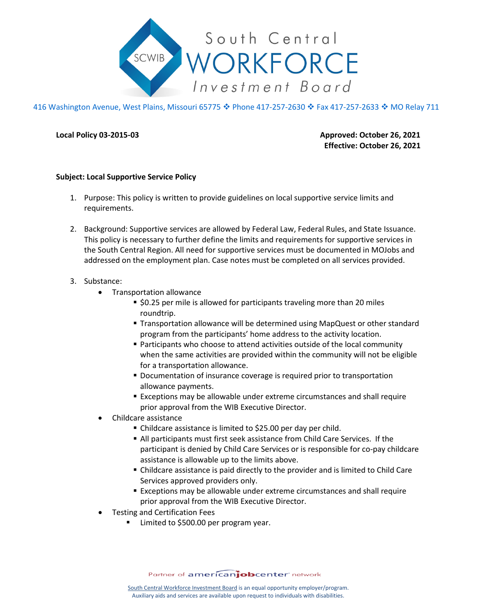

416 Washington Avenue, West Plains, Missouri 65775 ♦ Phone 417-257-2630 ♦ Fax 417-257-2633 ♦ MO Relay 711

**Local Policy 03-2015-03 Approved: October 26, 2021 Effective: October 26, 2021**

## **Subject: Local Supportive Service Policy**

- 1. Purpose: This policy is written to provide guidelines on local supportive service limits and requirements.
- 2. Background: Supportive services are allowed by Federal Law, Federal Rules, and State Issuance. This policy is necessary to further define the limits and requirements for supportive services in the South Central Region. All need for supportive services must be documented in MOJobs and addressed on the employment plan. Case notes must be completed on all services provided.

## 3. Substance:

- Transportation allowance
	- **S** \$0.25 per mile is allowed for participants traveling more than 20 miles roundtrip.
	- Transportation allowance will be determined using MapQuest or other standard program from the participants' home address to the activity location.
	- **Participants who choose to attend activities outside of the local community** when the same activities are provided within the community will not be eligible for a transportation allowance.
	- **Documentation of insurance coverage is required prior to transportation** allowance payments.
	- Exceptions may be allowable under extreme circumstances and shall require prior approval from the WIB Executive Director.
- Childcare assistance
	- Childcare assistance is limited to \$25.00 per day per child.
	- All participants must first seek assistance from Child Care Services. If the participant is denied by Child Care Services or is responsible for co-pay childcare assistance is allowable up to the limits above.
	- Childcare assistance is paid directly to the provider and is limited to Child Care Services approved providers only.
	- Exceptions may be allowable under extreme circumstances and shall require prior approval from the WIB Executive Director.
- Testing and Certification Fees
	- Limited to \$500.00 per program year.

Partner of americanjobcenter network